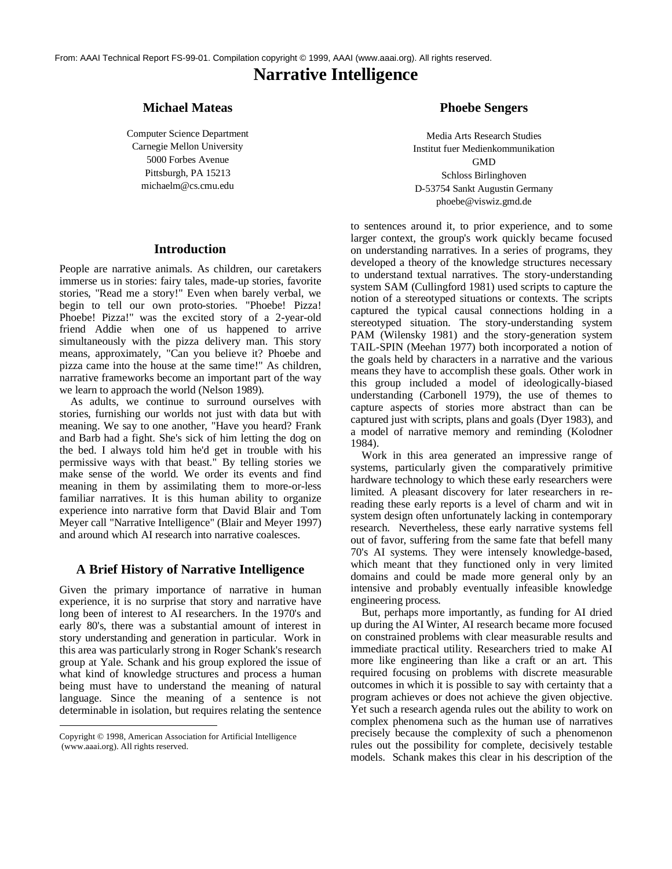# **Narrative Intelligence**

## **Michael Mateas**

Computer Science Department Carnegie Mellon University 5000 Forbes Avenue Pittsburgh, PA 15213 michaelm@cs.cmu.edu

#### **Introduction**

People are narrative animals. As children, our caretakers immerse us in stories: fairy tales, made-up stories, favorite stories, "Read me a story!" Even when barely verbal, we begin to tell our own proto-stories. "Phoebe! Pizza! Phoebe! Pizza!" was the excited story of a 2-year-old friend Addie when one of us happened to arrive simultaneously with the pizza delivery man. This story means, approximately, "Can you believe it? Phoebe and pizza came into the house at the same time!" As children, narrative frameworks become an important part of the way we learn to approach the world (Nelson 1989).

As adults, we continue to surround ourselves with stories, furnishing our worlds not just with data but with meaning. We say to one another, "Have you heard? Frank and Barb had a fight. She's sick of him letting the dog on the bed. I always told him he'd get in trouble with his permissive ways with that beast." By telling stories we make sense of the world. We order its events and find meaning in them by assimilating them to more-or-less familiar narratives. It is this human ability to organize experience into narrative form that David Blair and Tom Meyer call "Narrative Intelligence" (Blair and Meyer 1997) and around which AI research into narrative coalesces.

### **A Brief History of Narrative Intelligence**

Given the primary importance of narrative in human experience, it is no surprise that story and narrative have long been of interest to AI researchers. In the 1970's and early 80's, there was a substantial amount of interest in story understanding and generation in particular. Work in this area was particularly strong in Roger Schank's research group at Yale. Schank and his group explored the issue of what kind of knowledge structures and process a human being must have to understand the meaning of natural language. Since the meaning of a sentence is not determinable in isolation, but requires relating the sentence

 $\overline{a}$ 

### **Phoebe Sengers**

Media Arts Research Studies Institut fuer Medienkommunikation **GMD** Schloss Birlinghoven D-53754 Sankt Augustin Germany phoebe@viswiz.gmd.de

to sentences around it, to prior experience, and to some larger context, the group's work quickly became focused on understanding narratives. In a series of programs, they developed a theory of the knowledge structures necessary to understand textual narratives. The story-understanding system SAM (Cullingford 1981) used scripts to capture the notion of a stereotyped situations or contexts. The scripts captured the typical causal connections holding in a stereotyped situation. The story-understanding system PAM (Wilensky 1981) and the story-generation system TAIL-SPIN (Meehan 1977) both incorporated a notion of the goals held by characters in a narrative and the various means they have to accomplish these goals. Other work in this group included a model of ideologically-biased understanding (Carbonell 1979), the use of themes to capture aspects of stories more abstract than can be captured just with scripts, plans and goals (Dyer 1983), and a model of narrative memory and reminding (Kolodner 1984).

Work in this area generated an impressive range of systems, particularly given the comparatively primitive hardware technology to which these early researchers were limited. A pleasant discovery for later researchers in rereading these early reports is a level of charm and wit in system design often unfortunately lacking in contemporary research. Nevertheless, these early narrative systems fell out of favor, suffering from the same fate that befell many 70's AI systems. They were intensely knowledge-based, which meant that they functioned only in very limited domains and could be made more general only by an intensive and probably eventually infeasible knowledge engineering process.

But, perhaps more importantly, as funding for AI dried up during the AI Winter, AI research became more focused on constrained problems with clear measurable results and immediate practical utility. Researchers tried to make AI more like engineering than like a craft or an art. This required focusing on problems with discrete measurable outcomes in which it is possible to say with certainty that a program achieves or does not achieve the given objective. Yet such a research agenda rules out the ability to work on complex phenomena such as the human use of narratives precisely because the complexity of such a phenomenon rules out the possibility for complete, decisively testable models. Schank makes this clear in his description of the

Copyright © 1998, American Association for Artificial Intelligence (www.aaai.org). All rights reserved.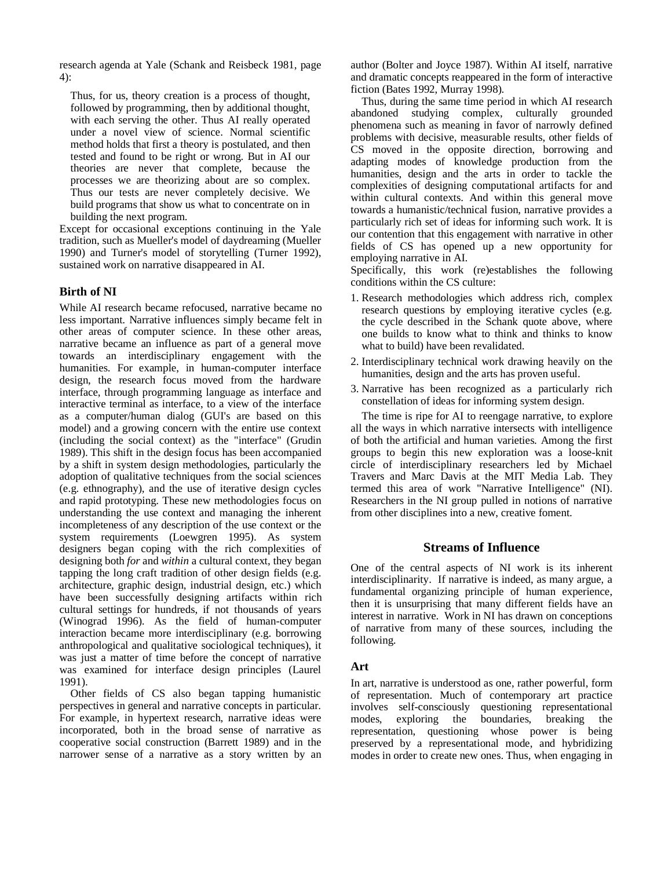research agenda at Yale (Schank and Reisbeck 1981, page 4):

Thus, for us, theory creation is a process of thought, followed by programming, then by additional thought, with each serving the other. Thus AI really operated under a novel view of science. Normal scientific method holds that first a theory is postulated, and then tested and found to be right or wrong. But in AI our theories are never that complete, because the processes we are theorizing about are so complex. Thus our tests are never completely decisive. We build programs that show us what to concentrate on in building the next program.

Except for occasional exceptions continuing in the Yale tradition, such as Mueller's model of daydreaming (Mueller 1990) and Turner's model of storytelling (Turner 1992), sustained work on narrative disappeared in AI.

#### **Birth of NI**

While AI research became refocused, narrative became no less important. Narrative influences simply became felt in other areas of computer science. In these other areas, narrative became an influence as part of a general move towards an interdisciplinary engagement with the humanities. For example, in human-computer interface design, the research focus moved from the hardware interface, through programming language as interface and interactive terminal as interface, to a view of the interface as a computer/human dialog (GUI's are based on this model) and a growing concern with the entire use context (including the social context) as the "interface" (Grudin 1989). This shift in the design focus has been accompanied by a shift in system design methodologies, particularly the adoption of qualitative techniques from the social sciences (e.g. ethnography), and the use of iterative design cycles and rapid prototyping. These new methodologies focus on understanding the use context and managing the inherent incompleteness of any description of the use context or the system requirements (Loewgren 1995). As system designers began coping with the rich complexities of designing both *for* and *within* a cultural context, they began tapping the long craft tradition of other design fields (e.g. architecture, graphic design, industrial design, etc.) which have been successfully designing artifacts within rich cultural settings for hundreds, if not thousands of years (Winograd 1996). As the field of human-computer interaction became more interdisciplinary (e.g. borrowing anthropological and qualitative sociological techniques), it was just a matter of time before the concept of narrative was examined for interface design principles (Laurel 1991).

Other fields of CS also began tapping humanistic perspectives in general and narrative concepts in particular. For example, in hypertext research, narrative ideas were incorporated, both in the broad sense of narrative as cooperative social construction (Barrett 1989) and in the narrower sense of a narrative as a story written by an author (Bolter and Joyce 1987). Within AI itself, narrative and dramatic concepts reappeared in the form of interactive fiction (Bates 1992, Murray 1998).

Thus, during the same time period in which AI research abandoned studying complex, culturally grounded phenomena such as meaning in favor of narrowly defined problems with decisive, measurable results, other fields of CS moved in the opposite direction, borrowing and adapting modes of knowledge production from the humanities, design and the arts in order to tackle the complexities of designing computational artifacts for and within cultural contexts. And within this general move towards a humanistic/technical fusion, narrative provides a particularly rich set of ideas for informing such work. It is our contention that this engagement with narrative in other fields of CS has opened up a new opportunity for employing narrative in AI.

Specifically, this work (re)establishes the following conditions within the CS culture:

- 1. Research methodologies which address rich, complex research questions by employing iterative cycles (e.g. the cycle described in the Schank quote above, where one builds to know what to think and thinks to know what to build) have been revalidated.
- 2. Interdisciplinary technical work drawing heavily on the humanities, design and the arts has proven useful.
- 3. Narrative has been recognized as a particularly rich constellation of ideas for informing system design.

The time is ripe for AI to reengage narrative, to explore all the ways in which narrative intersects with intelligence of both the artificial and human varieties. Among the first groups to begin this new exploration was a loose-knit circle of interdisciplinary researchers led by Michael Travers and Marc Davis at the MIT Media Lab. They termed this area of work "Narrative Intelligence" (NI). Researchers in the NI group pulled in notions of narrative from other disciplines into a new, creative foment.

#### **Streams of Influence**

One of the central aspects of NI work is its inherent interdisciplinarity. If narrative is indeed, as many argue, a fundamental organizing principle of human experience, then it is unsurprising that many different fields have an interest in narrative. Work in NI has drawn on conceptions of narrative from many of these sources, including the following.

#### **Art**

In art, narrative is understood as one, rather powerful, form of representation. Much of contemporary art practice involves self-consciously questioning representational modes, exploring the boundaries, breaking the representation, questioning whose power is being preserved by a representational mode, and hybridizing modes in order to create new ones. Thus, when engaging in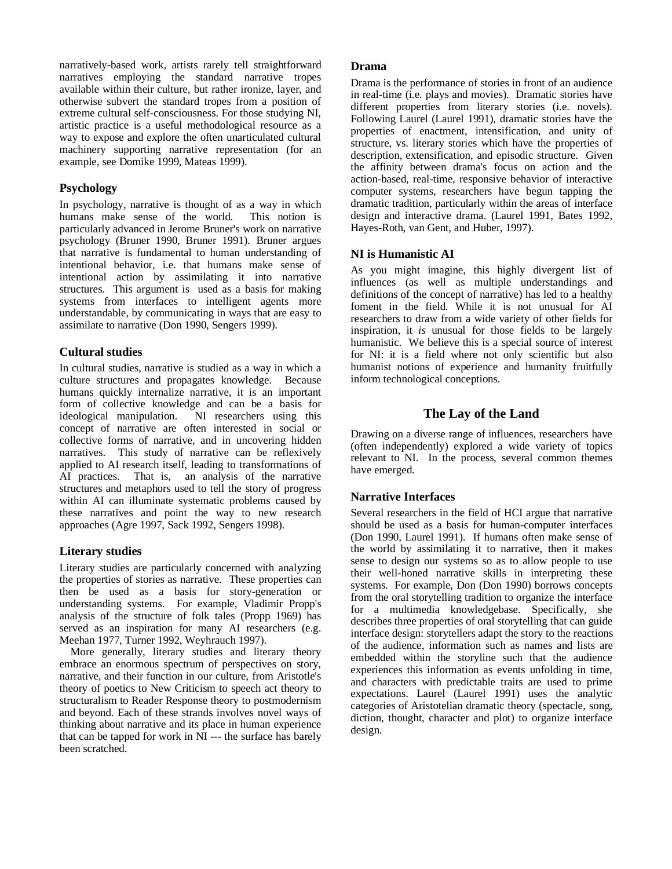narratively-based work, artists rarely tell straightforward narratives employing the standard narrative tropes available within their culture, but rather ironize, layer, and otherwise subvert the standard tropes from a position of extreme cultural self-consciousness. For those studying NI, artistic practice is a useful methodological resource as a way to expose and explore the often unarticulated cultural machinery supporting narrative representation (for an example, see Domike 1999, Mateas 1999).

# **Psychology**

In psychology, narrative is thought of as a way in which humans make sense of the world. This notion is particularly advanced in Jerome Bruner's work on narrative psychology (Bruner 1990, Bruner 1991). Bruner argues that narrative is fundamental to human understanding of intentional behavior, i.e. that humans make sense of intentional action by assimilating it into narrative structures. This argument is used as a basis for making systems from interfaces to intelligent agents more understandable, by communicating in ways that are easy to assimilate to narrative (Don 1990, Sengers 1999).

# **Cultural studies**

In cultural studies, narrative is studied as a way in which a culture structures and propagates knowledge. Because humans quickly internalize narrative, it is an important form of collective knowledge and can be a basis for ideological manipulation. NI researchers using this concept of narrative are often interested in social or collective forms of narrative, and in uncovering hidden narratives. This study of narrative can be reflexively applied to AI research itself, leading to transformations of AI practices. That is, an analysis of the narrative structures and metaphors used to tell the story of progress within AI can illuminate systematic problems caused by these narratives and point the way to new research approaches (Agre 1997, Sack 1992, Sengers 1998).

# **Literary studies**

Literary studies are particularly concerned with analyzing the properties of stories as narrative. These properties can then be used as a basis for story-generation or understanding systems. For example, Vladimir Propp's analysis of the structure of folk tales (Propp 1969) has served as an inspiration for many AI researchers (e.g. Meehan 1977, Turner 1992, Weyhrauch 1997).

More generally, literary studies and literary theory embrace an enormous spectrum of perspectives on story, narrative, and their function in our culture, from Aristotle's theory of poetics to New Criticism to speech act theory to structuralism to Reader Response theory to postmodernism and beyond. Each of these strands involves novel ways of thinking about narrative and its place in human experience that can be tapped for work in NI --- the surface has barely been scratched.

# **Drama**

Drama is the performance of stories in front of an audience in real-time (i.e. plays and movies). Dramatic stories have different properties from literary stories (i.e. novels). Following Laurel (Laurel 1991), dramatic stories have the properties of enactment, intensification, and unity of structure, vs. literary stories which have the properties of description, extensification, and episodic structure. Given the affinity between drama's focus on action and the action-based, real-time, responsive behavior of interactive computer systems, researchers have begun tapping the dramatic tradition, particularly within the areas of interface design and interactive drama. (Laurel 1991, Bates 1992, Hayes-Roth, van Gent, and Huber, 1997).

# **NI is Humanistic AI**

As you might imagine, this highly divergent list of influences (as well as multiple understandings and definitions of the concept of narrative) has led to a healthy foment in the field. While it is not unusual for AI researchers to draw from a wide variety of other fields for inspiration, it *is* unusual for those fields to be largely humanistic. We believe this is a special source of interest for NI: it is a field where not only scientific but also humanist notions of experience and humanity fruitfully inform technological conceptions.

# **The Lay of the Land**

Drawing on a diverse range of influences, researchers have (often independently) explored a wide variety of topics relevant to NI. In the process, several common themes have emerged.

# **Narrative Interfaces**

Several researchers in the field of HCI argue that narrative should be used as a basis for human-computer interfaces (Don 1990, Laurel 1991). If humans often make sense of the world by assimilating it to narrative, then it makes sense to design our systems so as to allow people to use their well-honed narrative skills in interpreting these systems. For example, Don (Don 1990) borrows concepts from the oral storytelling tradition to organize the interface for a multimedia knowledgebase. Specifically, she describes three properties of oral storytelling that can guide interface design: storytellers adapt the story to the reactions of the audience, information such as names and lists are embedded within the storyline such that the audience experiences this information as events unfolding in time, and characters with predictable traits are used to prime expectations. Laurel (Laurel 1991) uses the analytic categories of Aristotelian dramatic theory (spectacle, song, diction, thought, character and plot) to organize interface design.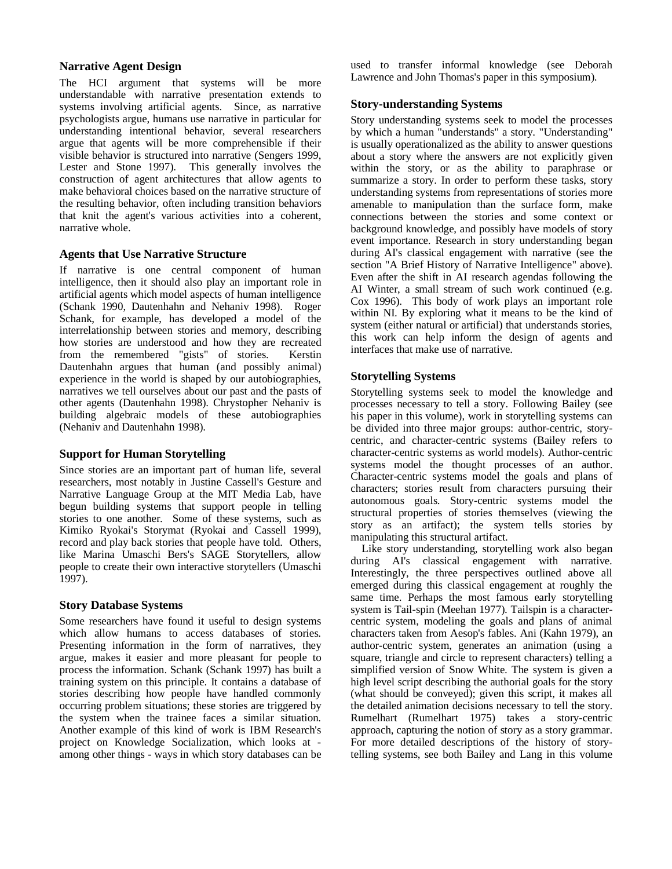# **Narrative Agent Design**

The HCI argument that systems will be more understandable with narrative presentation extends to systems involving artificial agents. Since, as narrative psychologists argue, humans use narrative in particular for understanding intentional behavior, several researchers argue that agents will be more comprehensible if their visible behavior is structured into narrative (Sengers 1999, Lester and Stone 1997). This generally involves the construction of agent architectures that allow agents to make behavioral choices based on the narrative structure of the resulting behavior, often including transition behaviors that knit the agent's various activities into a coherent, narrative whole.

# **Agents that Use Narrative Structure**

If narrative is one central component of human intelligence, then it should also play an important role in artificial agents which model aspects of human intelligence (Schank 1990, Dautenhahn and Nehaniv 1998). Roger Schank, for example, has developed a model of the interrelationship between stories and memory, describing how stories are understood and how they are recreated from the remembered "gists" of stories. Kerstin Dautenhahn argues that human (and possibly animal) experience in the world is shaped by our autobiographies, narratives we tell ourselves about our past and the pasts of other agents (Dautenhahn 1998). Chrystopher Nehaniv is building algebraic models of these autobiographies (Nehaniv and Dautenhahn 1998).

# **Support for Human Storytelling**

Since stories are an important part of human life, several researchers, most notably in Justine Cassell's Gesture and Narrative Language Group at the MIT Media Lab, have begun building systems that support people in telling stories to one another. Some of these systems, such as Kimiko Ryokai's Storymat (Ryokai and Cassell 1999), record and play back stories that people have told. Others, like Marina Umaschi Bers's SAGE Storytellers, allow people to create their own interactive storytellers (Umaschi 1997).

# **Story Database Systems**

Some researchers have found it useful to design systems which allow humans to access databases of stories. Presenting information in the form of narratives, they argue, makes it easier and more pleasant for people to process the information. Schank (Schank 1997) has built a training system on this principle. It contains a database of stories describing how people have handled commonly occurring problem situations; these stories are triggered by the system when the trainee faces a similar situation. Another example of this kind of work is IBM Research's project on Knowledge Socialization, which looks at among other things - ways in which story databases can be used to transfer informal knowledge (see Deborah Lawrence and John Thomas's paper in this symposium).

# **Story-understanding Systems**

Story understanding systems seek to model the processes by which a human "understands" a story. "Understanding" is usually operationalized as the ability to answer questions about a story where the answers are not explicitly given within the story, or as the ability to paraphrase or summarize a story. In order to perform these tasks, story understanding systems from representations of stories more amenable to manipulation than the surface form, make connections between the stories and some context or background knowledge, and possibly have models of story event importance. Research in story understanding began during AI's classical engagement with narrative (see the section "A Brief History of Narrative Intelligence" above). Even after the shift in AI research agendas following the AI Winter, a small stream of such work continued (e.g. Cox 1996). This body of work plays an important role within NI. By exploring what it means to be the kind of system (either natural or artificial) that understands stories, this work can help inform the design of agents and interfaces that make use of narrative.

# **Storytelling Systems**

Storytelling systems seek to model the knowledge and processes necessary to tell a story. Following Bailey (see his paper in this volume), work in storytelling systems can be divided into three major groups: author-centric, storycentric, and character-centric systems (Bailey refers to character-centric systems as world models). Author-centric systems model the thought processes of an author. Character-centric systems model the goals and plans of characters; stories result from characters pursuing their autonomous goals. Story-centric systems model the structural properties of stories themselves (viewing the story as an artifact); the system tells stories by manipulating this structural artifact.

Like story understanding, storytelling work also began during AI's classical engagement with narrative. Interestingly, the three perspectives outlined above all emerged during this classical engagement at roughly the same time. Perhaps the most famous early storytelling system is Tail-spin (Meehan 1977). Tailspin is a charactercentric system, modeling the goals and plans of animal characters taken from Aesop's fables. Ani (Kahn 1979), an author-centric system, generates an animation (using a square, triangle and circle to represent characters) telling a simplified version of Snow White. The system is given a high level script describing the authorial goals for the story (what should be conveyed); given this script, it makes all the detailed animation decisions necessary to tell the story. Rumelhart (Rumelhart 1975) takes a story-centric approach, capturing the notion of story as a story grammar. For more detailed descriptions of the history of storytelling systems, see both Bailey and Lang in this volume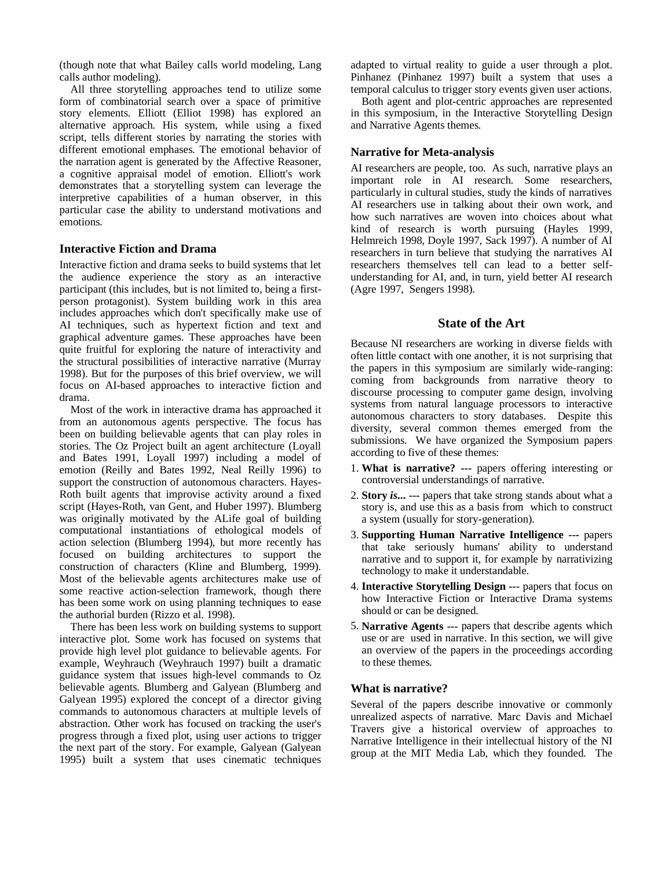(though note that what Bailey calls world modeling, Lang calls author modeling).

All three storytelling approaches tend to utilize some form of combinatorial search over a space of primitive story elements. Elliott (Elliot 1998) has explored an alternative approach. His system, while using a fixed script, tells different stories by narrating the stories with different emotional emphases. The emotional behavior of the narration agent is generated by the Affective Reasoner, a cognitive appraisal model of emotion. Elliott's work demonstrates that a storytelling system can leverage the interpretive capabilities of a human observer, in this particular case the ability to understand motivations and emotions.

#### **Interactive Fiction and Drama**

Interactive fiction and drama seeks to build systems that let the audience experience the story as an interactive participant (this includes, but is not limited to, being a firstperson protagonist). System building work in this area includes approaches which don't specifically make use of AI techniques, such as hypertext fiction and text and graphical adventure games. These approaches have been quite fruitful for exploring the nature of interactivity and the structural possibilities of interactive narrative (Murray 1998). But for the purposes of this brief overview, we will focus on AI-based approaches to interactive fiction and drama.

Most of the work in interactive drama has approached it from an autonomous agents perspective. The focus has been on building believable agents that can play roles in stories. The Oz Project built an agent architecture (Loyall and Bates 1991, Loyall 1997) including a model of emotion (Reilly and Bates 1992, Neal Reilly 1996) to support the construction of autonomous characters. Hayes-Roth built agents that improvise activity around a fixed script (Hayes-Roth, van Gent, and Huber 1997). Blumberg was originally motivated by the ALife goal of building computational instantiations of ethological models of action selection (Blumberg 1994), but more recently has focused on building architectures to support the construction of characters (Kline and Blumberg, 1999). Most of the believable agents architectures make use of some reactive action-selection framework, though there has been some work on using planning techniques to ease the authorial burden (Rizzo et al. 1998).

There has been less work on building systems to support interactive plot. Some work has focused on systems that provide high level plot guidance to believable agents. For example, Weyhrauch (Weyhrauch 1997) built a dramatic guidance system that issues high-level commands to Oz believable agents. Blumberg and Galyean (Blumberg and Galyean 1995) explored the concept of a director giving commands to autonomous characters at multiple levels of abstraction. Other work has focused on tracking the user's progress through a fixed plot, using user actions to trigger the next part of the story. For example, Galyean (Galyean 1995) built a system that uses cinematic techniques adapted to virtual reality to guide a user through a plot. Pinhanez (Pinhanez 1997) built a system that uses a temporal calculus to trigger story events given user actions.

Both agent and plot-centric approaches are represented in this symposium, in the Interactive Storytelling Design and Narrative Agents themes.

#### **Narrative for Meta-analysis**

AI researchers are people, too. As such, narrative plays an important role in AI research. Some researchers, particularly in cultural studies, study the kinds of narratives AI researchers use in talking about their own work, and how such narratives are woven into choices about what kind of research is worth pursuing (Hayles 1999, Helmreich 1998, Doyle 1997, Sack 1997). A number of AI researchers in turn believe that studying the narratives AI researchers themselves tell can lead to a better selfunderstanding for AI, and, in turn, yield better AI research (Agre 1997, Sengers 1998).

### **State of the Art**

Because NI researchers are working in diverse fields with often little contact with one another, it is not surprising that the papers in this symposium are similarly wide-ranging: coming from backgrounds from narrative theory to discourse processing to computer game design, involving systems from natural language processors to interactive autonomous characters to story databases. Despite this diversity, several common themes emerged from the submissions. We have organized the Symposium papers according to five of these themes:

- 1. **What is narrative? ---** papers offering interesting or controversial understandings of narrative.
- 2. **Story** *is***... ---** papers that take strong stands about what a story is, and use this as a basis from which to construct a system (usually for story-generation).
- 3. **Supporting Human Narrative Intelligence ---** papers that take seriously humans' ability to understand narrative and to support it, for example by narrativizing technology to make it understandable.
- 4. **Interactive Storytelling Design ---** papers that focus on how Interactive Fiction or Interactive Drama systems should or can be designed.
- 5. **Narrative Agents ---** papers that describe agents which use or are used in narrative. In this section, we will give an overview of the papers in the proceedings according to these themes.

#### **What is narrative?**

Several of the papers describe innovative or commonly unrealized aspects of narrative. Marc Davis and Michael Travers give a historical overview of approaches to Narrative Intelligence in their intellectual history of the NI group at the MIT Media Lab, which they founded. The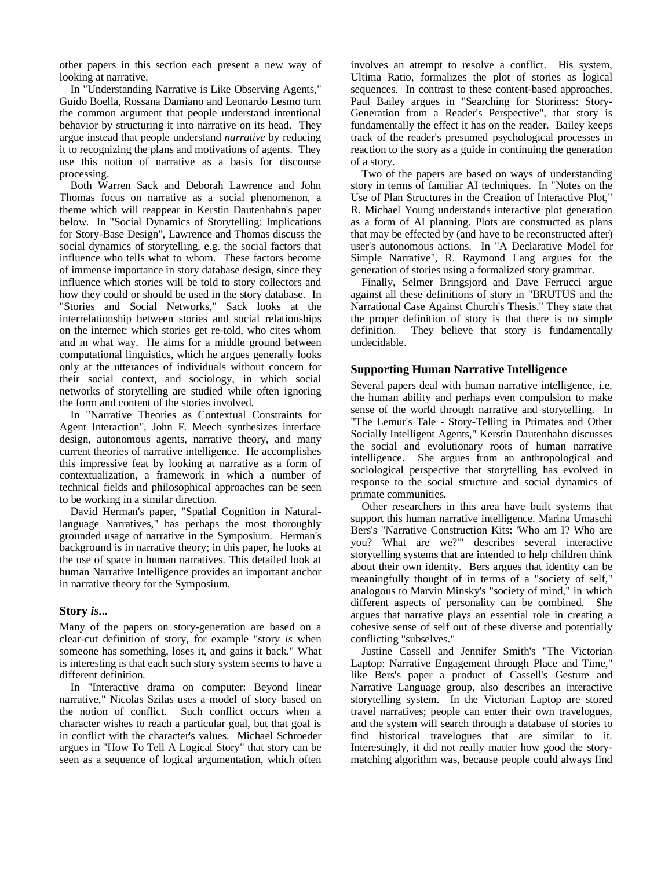other papers in this section each present a new way of looking at narrative.

In "Understanding Narrative is Like Observing Agents," Guido Boella, Rossana Damiano and Leonardo Lesmo turn the common argument that people understand intentional behavior by structuring it into narrative on its head. They argue instead that people understand *narrative* by reducing it to recognizing the plans and motivations of agents. They use this notion of narrative as a basis for discourse processing.

Both Warren Sack and Deborah Lawrence and John Thomas focus on narrative as a social phenomenon, a theme which will reappear in Kerstin Dautenhahn's paper below. In "Social Dynamics of Storytelling: Implications for Story-Base Design", Lawrence and Thomas discuss the social dynamics of storytelling, e.g. the social factors that influence who tells what to whom. These factors become of immense importance in story database design, since they influence which stories will be told to story collectors and how they could or should be used in the story database. In "Stories and Social Networks," Sack looks at the interrelationship between stories and social relationships on the internet: which stories get re-told, who cites whom and in what way. He aims for a middle ground between computational linguistics, which he argues generally looks only at the utterances of individuals without concern for their social context, and sociology, in which social networks of storytelling are studied while often ignoring the form and content of the stories involved.

In "Narrative Theories as Contextual Constraints for Agent Interaction", John F. Meech synthesizes interface design, autonomous agents, narrative theory, and many current theories of narrative intelligence. He accomplishes this impressive feat by looking at narrative as a form of contextualization, a framework in which a number of technical fields and philosophical approaches can be seen to be working in a similar direction.

David Herman's paper, "Spatial Cognition in Naturallanguage Narratives," has perhaps the most thoroughly grounded usage of narrative in the Symposium. Herman's background is in narrative theory; in this paper, he looks at the use of space in human narratives. This detailed look at human Narrative Intelligence provides an important anchor in narrative theory for the Symposium.

#### **Story** *is***...**

Many of the papers on story-generation are based on a clear-cut definition of story, for example "story *is* when someone has something, loses it, and gains it back." What is interesting is that each such story system seems to have a different definition.

In "Interactive drama on computer: Beyond linear narrative," Nicolas Szilas uses a model of story based on the notion of conflict. Such conflict occurs when a character wishes to reach a particular goal, but that goal is in conflict with the character's values. Michael Schroeder argues in "How To Tell A Logical Story" that story can be seen as a sequence of logical argumentation, which often involves an attempt to resolve a conflict. His system, Ultima Ratio, formalizes the plot of stories as logical sequences. In contrast to these content-based approaches, Paul Bailey argues in "Searching for Storiness: Story-Generation from a Reader's Perspective", that story is fundamentally the effect it has on the reader. Bailey keeps track of the reader's presumed psychological processes in reaction to the story as a guide in continuing the generation of a story.

Two of the papers are based on ways of understanding story in terms of familiar AI techniques. In "Notes on the Use of Plan Structures in the Creation of Interactive Plot," R. Michael Young understands interactive plot generation as a form of AI planning. Plots are constructed as plans that may be effected by (and have to be reconstructed after) user's autonomous actions. In "A Declarative Model for Simple Narrative", R. Raymond Lang argues for the generation of stories using a formalized story grammar.

Finally, Selmer Bringsjord and Dave Ferrucci argue against all these definitions of story in "BRUTUS and the Narrational Case Against Church's Thesis." They state that the proper definition of story is that there is no simple definition. They believe that story is fundamentally undecidable.

#### **Supporting Human Narrative Intelligence**

Several papers deal with human narrative intelligence, i.e. the human ability and perhaps even compulsion to make sense of the world through narrative and storytelling. In "The Lemur's Tale - Story-Telling in Primates and Other Socially Intelligent Agents," Kerstin Dautenhahn discusses the social and evolutionary roots of human narrative intelligence. She argues from an anthropological and sociological perspective that storytelling has evolved in response to the social structure and social dynamics of primate communities.

Other researchers in this area have built systems that support this human narrative intelligence. Marina Umaschi Bers's "Narrative Construction Kits: 'Who am I? Who are you? What are we?'" describes several interactive storytelling systems that are intended to help children think about their own identity. Bers argues that identity can be meaningfully thought of in terms of a "society of self," analogous to Marvin Minsky's "society of mind," in which different aspects of personality can be combined. She argues that narrative plays an essential role in creating a cohesive sense of self out of these diverse and potentially conflicting "subselves."

Justine Cassell and Jennifer Smith's "The Victorian Laptop: Narrative Engagement through Place and Time," like Bers's paper a product of Cassell's Gesture and Narrative Language group, also describes an interactive storytelling system. In the Victorian Laptop are stored travel narratives; people can enter their own travelogues, and the system will search through a database of stories to find historical travelogues that are similar to it. Interestingly, it did not really matter how good the storymatching algorithm was, because people could always find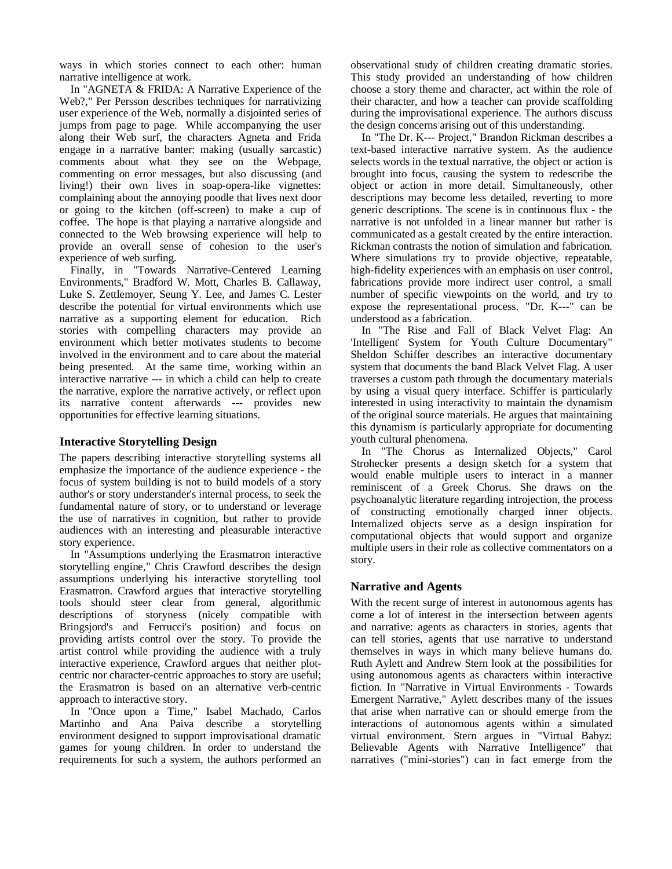ways in which stories connect to each other: human narrative intelligence at work.

In "AGNETA & FRIDA: A Narrative Experience of the Web?," Per Persson describes techniques for narrativizing user experience of the Web, normally a disjointed series of jumps from page to page. While accompanying the user along their Web surf, the characters Agneta and Frida engage in a narrative banter: making (usually sarcastic) comments about what they see on the Webpage, commenting on error messages, but also discussing (and living!) their own lives in soap-opera-like vignettes: complaining about the annoying poodle that lives next door or going to the kitchen (off-screen) to make a cup of coffee. The hope is that playing a narrative alongside and connected to the Web browsing experience will help to provide an overall sense of cohesion to the user's experience of web surfing.

Finally, in "Towards Narrative-Centered Learning Environments," Bradford W. Mott, Charles B. Callaway, Luke S. Zettlemoyer, Seung Y. Lee, and James C. Lester describe the potential for virtual environments which use narrative as a supporting element for education. Rich stories with compelling characters may provide an environment which better motivates students to become involved in the environment and to care about the material being presented. At the same time, working within an interactive narrative --- in which a child can help to create the narrative, explore the narrative actively, or reflect upon its narrative content afterwards --- provides new opportunities for effective learning situations.

#### **Interactive Storytelling Design**

The papers describing interactive storytelling systems all emphasize the importance of the audience experience - the focus of system building is not to build models of a story author's or story understander's internal process, to seek the fundamental nature of story, or to understand or leverage the use of narratives in cognition, but rather to provide audiences with an interesting and pleasurable interactive story experience.

In "Assumptions underlying the Erasmatron interactive storytelling engine," Chris Crawford describes the design assumptions underlying his interactive storytelling tool Erasmatron. Crawford argues that interactive storytelling tools should steer clear from general, algorithmic descriptions of storyness (nicely compatible with Bringsjord's and Ferrucci's position) and focus on providing artists control over the story. To provide the artist control while providing the audience with a truly interactive experience, Crawford argues that neither plotcentric nor character-centric approaches to story are useful; the Erasmatron is based on an alternative verb-centric approach to interactive story.

In "Once upon a Time," Isabel Machado, Carlos Martinho and Ana Paiva describe a storytelling environment designed to support improvisational dramatic games for young children. In order to understand the requirements for such a system, the authors performed an observational study of children creating dramatic stories. This study provided an understanding of how children choose a story theme and character, act within the role of their character, and how a teacher can provide scaffolding during the improvisational experience. The authors discuss the design concerns arising out of this understanding.

In "The Dr. K--- Project," Brandon Rickman describes a text-based interactive narrative system. As the audience selects words in the textual narrative, the object or action is brought into focus, causing the system to redescribe the object or action in more detail. Simultaneously, other descriptions may become less detailed, reverting to more generic descriptions. The scene is in continuous flux - the narrative is not unfolded in a linear manner but rather is communicated as a gestalt created by the entire interaction. Rickman contrasts the notion of simulation and fabrication. Where simulations try to provide objective, repeatable, high-fidelity experiences with an emphasis on user control, fabrications provide more indirect user control, a small number of specific viewpoints on the world, and try to expose the representational process. "Dr. K---" can be understood as a fabrication.

In "The Rise and Fall of Black Velvet Flag: An 'Intelligent' System for Youth Culture Documentary" Sheldon Schiffer describes an interactive documentary system that documents the band Black Velvet Flag. A user traverses a custom path through the documentary materials by using a visual query interface. Schiffer is particularly interested in using interactivity to maintain the dynamism of the original source materials. He argues that maintaining this dynamism is particularly appropriate for documenting youth cultural phenomena.

In "The Chorus as Internalized Objects," Carol Strohecker presents a design sketch for a system that would enable multiple users to interact in a manner reminiscent of a Greek Chorus. She draws on the psychoanalytic literature regarding introjection, the process of constructing emotionally charged inner objects. Internalized objects serve as a design inspiration for computational objects that would support and organize multiple users in their role as collective commentators on a story.

#### **Narrative and Agents**

With the recent surge of interest in autonomous agents has come a lot of interest in the intersection between agents and narrative: agents as characters in stories, agents that can tell stories, agents that use narrative to understand themselves in ways in which many believe humans do. Ruth Aylett and Andrew Stern look at the possibilities for using autonomous agents as characters within interactive fiction. In "Narrative in Virtual Environments - Towards Emergent Narrative," Aylett describes many of the issues that arise when narrative can or should emerge from the interactions of autonomous agents within a simulated virtual environment. Stern argues in "Virtual Babyz: Believable Agents with Narrative Intelligence" that narratives ("mini-stories") can in fact emerge from the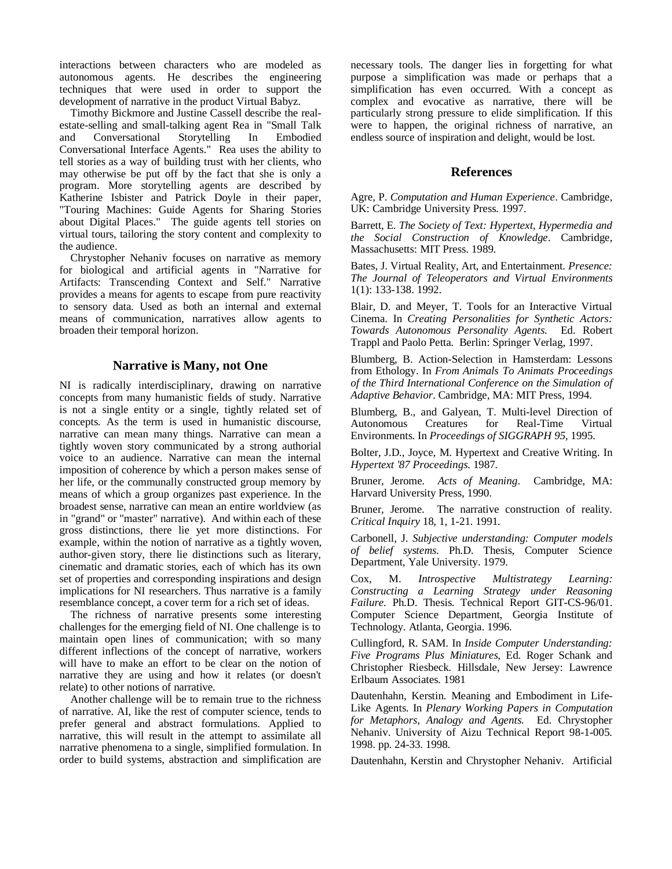interactions between characters who are modeled as autonomous agents. He describes the engineering techniques that were used in order to support the development of narrative in the product Virtual Babyz.

Timothy Bickmore and Justine Cassell describe the realestate-selling and small-talking agent Rea in "Small Talk and Conversational Storytelling In Embodied Conversational Interface Agents." Rea uses the ability to tell stories as a way of building trust with her clients, who may otherwise be put off by the fact that she is only a program. More storytelling agents are described by Katherine Isbister and Patrick Doyle in their paper, "Touring Machines: Guide Agents for Sharing Stories about Digital Places." The guide agents tell stories on virtual tours, tailoring the story content and complexity to the audience.

Chrystopher Nehaniv focuses on narrative as memory for biological and artificial agents in "Narrative for Artifacts: Transcending Context and Self." Narrative provides a means for agents to escape from pure reactivity to sensory data. Used as both an internal and external means of communication, narratives allow agents to broaden their temporal horizon.

## **Narrative is Many, not One**

NI is radically interdisciplinary, drawing on narrative concepts from many humanistic fields of study. Narrative is not a single entity or a single, tightly related set of concepts. As the term is used in humanistic discourse, narrative can mean many things. Narrative can mean a tightly woven story communicated by a strong authorial voice to an audience. Narrative can mean the internal imposition of coherence by which a person makes sense of her life, or the communally constructed group memory by means of which a group organizes past experience. In the broadest sense, narrative can mean an entire worldview (as in "grand" or "master" narrative). And within each of these gross distinctions, there lie yet more distinctions. For example, within the notion of narrative as a tightly woven, author-given story, there lie distinctions such as literary, cinematic and dramatic stories, each of which has its own set of properties and corresponding inspirations and design implications for NI researchers. Thus narrative is a family resemblance concept, a cover term for a rich set of ideas.

The richness of narrative presents some interesting challenges for the emerging field of NI. One challenge is to maintain open lines of communication; with so many different inflections of the concept of narrative, workers will have to make an effort to be clear on the notion of narrative they are using and how it relates (or doesn't relate) to other notions of narrative.

Another challenge will be to remain true to the richness of narrative. AI, like the rest of computer science, tends to prefer general and abstract formulations. Applied to narrative, this will result in the attempt to assimilate all narrative phenomena to a single, simplified formulation. In order to build systems, abstraction and simplification are necessary tools. The danger lies in forgetting for what purpose a simplification was made or perhaps that a simplification has even occurred. With a concept as complex and evocative as narrative, there will be particularly strong pressure to elide simplification. If this were to happen, the original richness of narrative, an endless source of inspiration and delight, would be lost.

# **References**

Agre, P. *Computation and Human Experience*. Cambridge, UK: Cambridge University Press. 1997.

Barrett, E. *The Society of Text: Hypertext, Hypermedia and the Social Construction of Knowledge*. Cambridge, Massachusetts: MIT Press. 1989.

Bates, J. Virtual Reality, Art, and Entertainment. *Presence: The Journal of Teleoperators and Virtual Environments* 1(1): 133-138. 1992.

Blair, D. and Meyer, T. Tools for an Interactive Virtual Cinema. In *Creating Personalities for Synthetic Actors: Towards Autonomous Personality Agents*. Ed. Robert Trappl and Paolo Petta. Berlin: Springer Verlag, 1997.

Blumberg, B. Action-Selection in Hamsterdam: Lessons from Ethology. In *From Animals To Animats Proceedings of the Third International Conference on the Simulation of Adaptive Behavior*. Cambridge, MA: MIT Press, 1994.

Blumberg, B., and Galyean, T. Multi-level Direction of Autonomous Environments. In *Proceedings of SIGGRAPH 95*, 1995.

Bolter, J.D., Joyce, M. Hypertext and Creative Writing. In *Hypertext '87 Proceedings*. 1987.

Bruner, Jerome. *Acts of Meaning*. Cambridge, MA: Harvard University Press, 1990.

Bruner, Jerome. The narrative construction of reality. *Critical Inquiry* 18, 1, 1-21. 1991.

Carbonell, J. *Subjective understanding: Computer models of belief systems*. Ph.D. Thesis, Computer Science Department, Yale University. 1979.

Cox, M. *Introspective Multistrategy Learning: Constructing a Learning Strategy under Reasoning Failure*. Ph.D. Thesis. Technical Report GIT-CS-96/01. Computer Science Department, Georgia Institute of Technology. Atlanta, Georgia. 1996.

Cullingford, R. SAM. In *Inside Computer Understanding: Five Programs Plus Miniatures*, Ed. Roger Schank and Christopher Riesbeck. Hillsdale, New Jersey: Lawrence Erlbaum Associates. 1981

Dautenhahn, Kerstin. Meaning and Embodiment in Life-Like Agents. In *Plenary Working Papers in Computation for Metaphors, Analogy and Agents*. Ed. Chrystopher Nehaniv. University of Aizu Technical Report 98-1-005. 1998. pp. 24-33. 1998.

Dautenhahn, Kerstin and Chrystopher Nehaniv. Artificial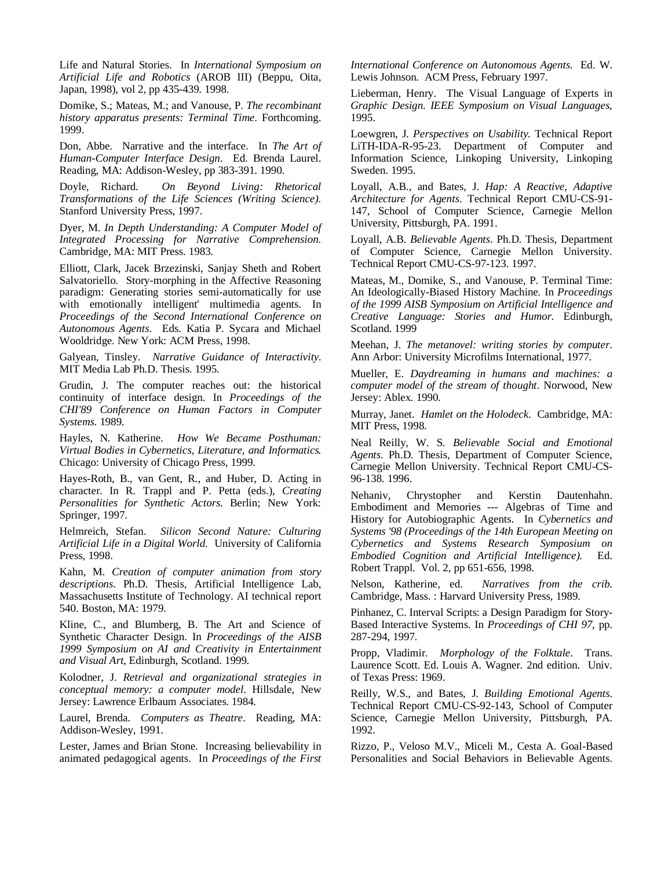Life and Natural Stories. In *International Symposium on Artificial Life and Robotics* (AROB III) (Beppu, Oita, Japan, 1998), vol 2, pp 435-439. 1998.

Domike, S.; Mateas, M.; and Vanouse, P. *The recombinant history apparatus presents: Terminal Time*. Forthcoming. 1999.

Don, Abbe. Narrative and the interface. In *The Art of Human-Computer Interface Design*. Ed. Brenda Laurel. Reading, MA: Addison-Wesley, pp 383-391. 1990.

Doyle, Richard. *On Beyond Living: Rhetorical Transformations of the Life Sciences (Writing Science).* Stanford University Press, 1997.

Dyer, M. *In Depth Understanding: A Computer Model of Integrated Processing for Narrative Comprehension*. Cambridge, MA: MIT Press. 1983.

Elliott, Clark, Jacek Brzezinski, Sanjay Sheth and Robert Salvatoriello. Story-morphing in the Affective Reasoning paradigm: Generating stories semi-automatically for use with emotionally intelligent' multimedia agents. In *Proceedings of the Second International Conference on Autonomous Agents*. Eds. Katia P. Sycara and Michael Wooldridge. New York: ACM Press, 1998.

Galyean, Tinsley. *Narrative Guidance of Interactivity*. MIT Media Lab Ph.D. Thesis. 1995.

Grudin, J. The computer reaches out: the historical continuity of interface design. In *Proceedings of the CHI'89 Conference on Human Factors in Computer Systems*. 1989.

Hayles, N. Katherine. *How We Became Posthuman: Virtual Bodies in Cybernetics, Literature, and Informatics*. Chicago: University of Chicago Press, 1999.

Hayes-Roth, B., van Gent, R., and Huber, D. Acting in character. In R. Trappl and P. Petta (eds.), *Creating Personalities for Synthetic Actors*. Berlin; New York: Springer, 1997.

Helmreich, Stefan. *Silicon Second Nature: Culturing Artificial Life in a Digital World*. University of California Press, 1998.

Kahn, M. *Creation of computer animation from story descriptions*. Ph.D. Thesis, Artificial Intelligence Lab, Massachusetts Institute of Technology. AI technical report 540. Boston, MA: 1979.

Kline, C., and Blumberg, B. The Art and Science of Synthetic Character Design. In *Proceedings of the AISB 1999 Symposium on AI and Creativity in Entertainment and Visual Art*, Edinburgh, Scotland. 1999.

Kolodner, J. *Retrieval and organizational strategies in conceptual memory: a computer model*. Hillsdale, New Jersey: Lawrence Erlbaum Associates. 1984.

Laurel, Brenda. *Computers as Theatre*. Reading, MA: Addison-Wesley, 1991.

Lester, James and Brian Stone. Increasing believability in animated pedagogical agents. In *Proceedings of the First* *International Conference on Autonomous Agents*. Ed. W. Lewis Johnson. ACM Press, February 1997.

Lieberman, Henry. The Visual Language of Experts in *Graphic Design. IEEE Symposium on Visual Languages*, 1995.

Loewgren, J. *Perspectives on Usability*. Technical Report LiTH-IDA-R-95-23. Department of Computer and Information Science, Linkoping University, Linkoping Sweden. 1995.

Loyall, A.B., and Bates, J. *Hap: A Reactive, Adaptive Architecture for Agents*. Technical Report CMU-CS-91- 147, School of Computer Science, Carnegie Mellon University, Pittsburgh, PA. 1991.

Loyall, A.B. *Believable Agents*. Ph.D. Thesis, Department of Computer Science, Carnegie Mellon University. Technical Report CMU-CS-97-123. 1997.

Mateas, M., Domike, S., and Vanouse, P. Terminal Time: An Ideologically-Biased History Machine. In *Proceedings of the 1999 AISB Symposium on Artificial Intelligence and Creative Language: Stories and Humor*. Edinburgh, Scotland. 1999

Meehan, J. *The metanovel: writing stories by computer*. Ann Arbor: University Microfilms International, 1977.

Mueller, E. *Daydreaming in humans and machines: a computer model of the stream of thought*. Norwood, New Jersey: Ablex. 1990.

Murray, Janet. *Hamlet on the Holodeck*. Cambridge, MA: MIT Press, 1998.

Neal Reilly, W. S. *Believable Social and Emotional Agents*. Ph.D. Thesis, Department of Computer Science, Carnegie Mellon University. Technical Report CMU-CS-96-138. 1996.

Nehaniv, Chrystopher and Kerstin Dautenhahn. Embodiment and Memories --- Algebras of Time and History for Autobiographic Agents. In *Cybernetics and Systems '98 (Proceedings of the 14th European Meeting on Cybernetics and Systems Research Symposium on Embodied Cognition and Artificial Intelligence).* Ed. Robert Trappl. Vol. 2, pp 651-656, 1998.

Nelson, Katherine, ed. *Narratives from the crib*. Cambridge, Mass. : Harvard University Press, 1989.

Pinhanez, C. Interval Scripts: a Design Paradigm for Story-Based Interactive Systems. In *Proceedings of CHI 97*, pp. 287-294, 1997.

Propp, Vladimir. *Morphology of the Folktale*. Trans. Laurence Scott. Ed. Louis A. Wagner. 2nd edition. Univ. of Texas Press: 1969.

Reilly, W.S., and Bates, J. *Building Emotional Agents*. Technical Report CMU-CS-92-143, School of Computer Science, Carnegie Mellon University, Pittsburgh, PA. 1992.

Rizzo, P., Veloso M.V., Miceli M., Cesta A. Goal-Based Personalities and Social Behaviors in Believable Agents.